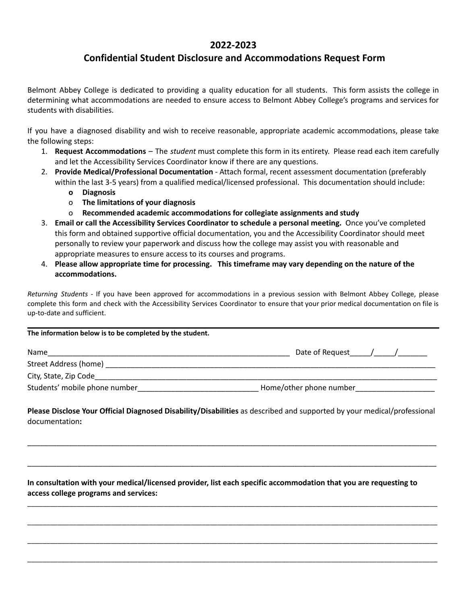## **2022-2023**

## **Confidential Student Disclosure and Accommodations Request Form**

Belmont Abbey College is dedicated to providing a quality education for all students. This form assists the college in determining what accommodations are needed to ensure access to Belmont Abbey College's programs and services for students with disabilities.

If you have a diagnosed disability and wish to receive reasonable, appropriate academic accommodations, please take the following steps:

- 1. **Request Accommodations** The *student* must complete this form in its entirety. Please read each item carefully and let the Accessibility Services Coordinator know if there are any questions.
- 2. **Provide Medical/Professional Documentation** Attach formal, recent assessment documentation (preferably within the last 3-5 years) from a qualified medical/licensed professional. This documentation should include:
	- **o Diagnosis**
	- o **The limitations of your diagnosis**
	- o **Recommended academic accommodations for collegiate assignments and study**
- 3. **Email or call the Accessibility Services Coordinator to schedule a personal meeting.** Once you've completed this form and obtained supportive official documentation, you and the Accessibility Coordinator should meet personally to review your paperwork and discuss how the college may assist you with reasonable and appropriate measures to ensure access to its courses and programs.
- 4. **Please allow appropriate time for processing. This timeframe may vary depending on the nature of the accommodations.**

*Returning Students* - If you have been approved for accommodations in a previous session with Belmont Abbey College, please complete this form and check with the Accessibility Services Coordinator to ensure that your prior medical documentation on file is up-to-date and sufficient.

## **The information below is to be completed by the student.**

| Name                          | Date of Request         |
|-------------------------------|-------------------------|
| Street Address (home)         |                         |
| City, State, Zip Code         |                         |
| Students' mobile phone number | Home/other phone number |

**Please Disclose Your Official Diagnosed Disability/Disabilities** as described and supported by your medical/professional documentation**:**

\_\_\_\_\_\_\_\_\_\_\_\_\_\_\_\_\_\_\_\_\_\_\_\_\_\_\_\_\_\_\_\_\_\_\_\_\_\_\_\_\_\_\_\_\_\_\_\_\_\_\_\_\_\_\_\_\_\_\_\_\_\_\_\_\_\_\_\_\_\_\_\_\_\_\_\_\_\_\_\_\_\_\_\_\_\_\_\_\_\_\_\_\_\_\_\_\_\_

\_\_\_\_\_\_\_\_\_\_\_\_\_\_\_\_\_\_\_\_\_\_\_\_\_\_\_\_\_\_\_\_\_\_\_\_\_\_\_\_\_\_\_\_\_\_\_\_\_\_\_\_\_\_\_\_\_\_\_\_\_\_\_\_\_\_\_\_\_\_\_\_\_\_\_\_\_\_\_\_\_\_\_\_\_\_\_\_\_\_\_\_\_\_\_\_\_\_

\_\_\_\_\_\_\_\_\_\_\_\_\_\_\_\_\_\_\_\_\_\_\_\_\_\_\_\_\_\_\_\_\_\_\_\_\_\_\_\_\_\_\_\_\_\_\_\_\_\_\_\_\_\_\_\_\_\_\_\_\_\_\_\_\_\_\_\_\_\_\_\_\_\_\_\_\_\_\_\_\_\_\_\_\_\_\_\_\_\_\_\_\_\_\_\_\_\_\_\_\_\_\_\_\_\_\_\_

\_\_\_\_\_\_\_\_\_\_\_\_\_\_\_\_\_\_\_\_\_\_\_\_\_\_\_\_\_\_\_\_\_\_\_\_\_\_\_\_\_\_\_\_\_\_\_\_\_\_\_\_\_\_\_\_\_\_\_\_\_\_\_\_\_\_\_\_\_\_\_\_\_\_\_\_\_\_\_\_\_\_\_\_\_\_\_\_\_\_\_\_\_\_\_\_\_\_\_\_\_\_\_\_\_\_\_\_

\_\_\_\_\_\_\_\_\_\_\_\_\_\_\_\_\_\_\_\_\_\_\_\_\_\_\_\_\_\_\_\_\_\_\_\_\_\_\_\_\_\_\_\_\_\_\_\_\_\_\_\_\_\_\_\_\_\_\_\_\_\_\_\_\_\_\_\_\_\_\_\_\_\_\_\_\_\_\_\_\_\_\_\_\_\_\_\_\_\_\_\_\_\_\_\_\_\_\_\_\_\_\_\_\_\_\_\_

\_\_\_\_\_\_\_\_\_\_\_\_\_\_\_\_\_\_\_\_\_\_\_\_\_\_\_\_\_\_\_\_\_\_\_\_\_\_\_\_\_\_\_\_\_\_\_\_\_\_\_\_\_\_\_\_\_\_\_\_\_\_\_\_\_\_\_\_\_\_\_\_\_\_\_\_\_\_\_\_\_\_\_\_\_\_\_\_\_\_\_\_\_\_\_\_\_\_\_\_\_\_\_\_\_\_\_\_

**In consultation with your medical/licensed provider, list each specific accommodation that you are requesting to access college programs and services:**